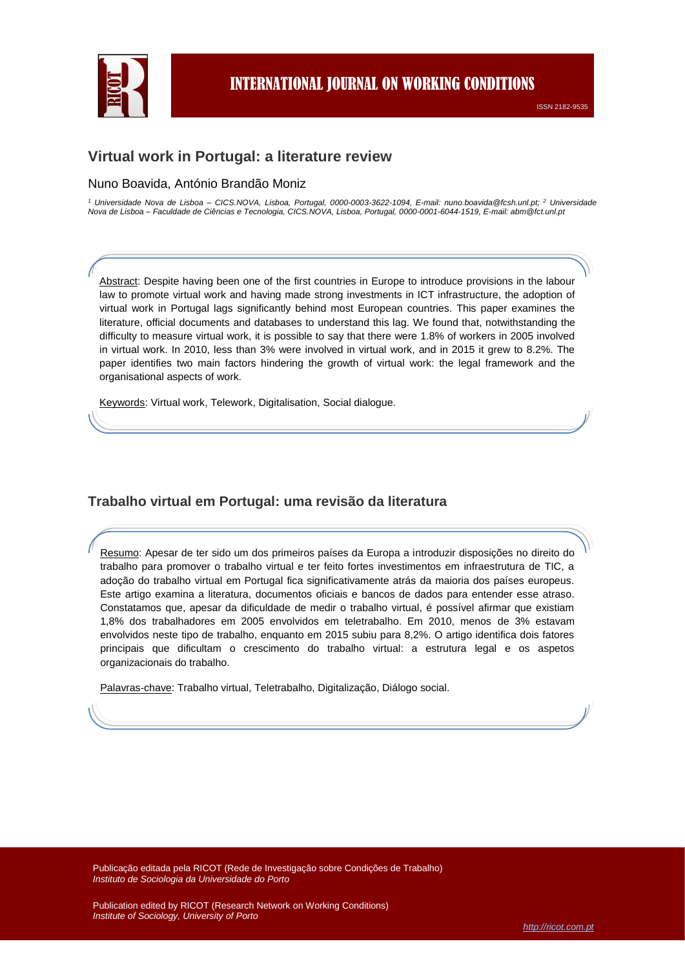

# **Virtual work in Portugal: a literature review**

#### Nuno Boavida, António Brandão Moniz

*<sup>1</sup> Universidade Nova de Lisboa – CICS.NOVA, Lisboa, Portugal, 0000-0003-3622-1094, E-mail: nuno.boavida@fcsh.unl.pt; <sup>2</sup> Universidade Nova de Lisboa – Faculdade de Ciências e Tecnologia, CICS.NOVA, Lisboa, Portugal, 0000-0001-6044-1519, E-mail: abm@fct.unl.pt*

Abstract: Despite having been one of the first countries in Europe to introduce provisions in the labour law to promote virtual work and having made strong investments in ICT infrastructure, the adoption of virtual work in Portugal lags significantly behind most European countries. This paper examines the literature, official documents and databases to understand this lag. We found that, notwithstanding the difficulty to measure virtual work, it is possible to say that there were 1.8% of workers in 2005 involved in virtual work. In 2010, less than 3% were involved in virtual work, and in 2015 it grew to 8.2%. The paper identifies two main factors hindering the growth of virtual work: the legal framework and the organisational aspects of work.

Keywords: Virtual work, Telework, Digitalisation, Social dialogue*.*

## **Trabalho virtual em Portugal: uma revisão da literatura**

Resumo: Apesar de ter sido um dos primeiros países da Europa a introduzir disposições no direito do trabalho para promover o trabalho virtual e ter feito fortes investimentos em infraestrutura de TIC, a adoção do trabalho virtual em Portugal fica significativamente atrás da maioria dos países europeus. Este artigo examina a literatura, documentos oficiais e bancos de dados para entender esse atraso. Constatamos que, apesar da dificuldade de medir o trabalho virtual, é possível afirmar que existiam 1,8% dos trabalhadores em 2005 envolvidos em teletrabalho. Em 2010, menos de 3% estavam envolvidos neste tipo de trabalho, enquanto em 2015 subiu para 8,2%. O artigo identifica dois fatores principais que dificultam o crescimento do trabalho virtual: a estrutura legal e os aspetos organizacionais do trabalho.

Palavras-chave: Trabalho virtual, Teletrabalho, Digitalização, Diálogo social.

*Instituto de Sociologia da Universidade do Porto* Publicação editada pela RICOT (Rede de Investigação sobre Condições de Trabalho) *Instituto de Sociologia da Universidade do Porto*

*Institute of Sociology, University of Porto* Publication edited by RICOT (Research Network on Working Conditions) *Institute of Sociology, University of Porto*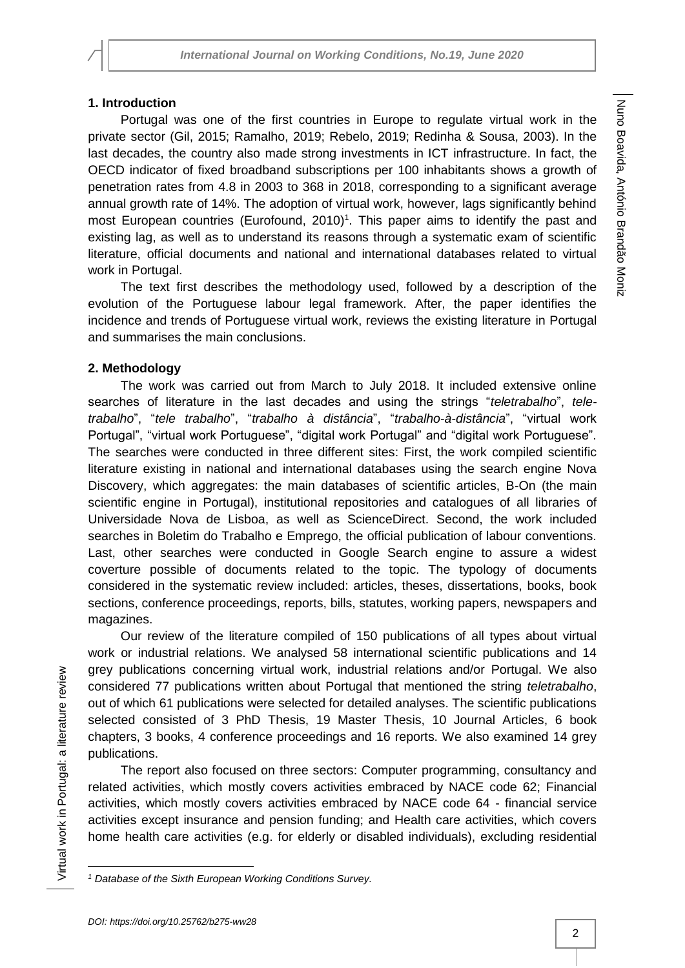## **1. Introduction**

Portugal was one of the first countries in Europe to regulate virtual work in the private sector (Gil, 2015; Ramalho, 2019; Rebelo, 2019; Redinha & Sousa, 2003). In the last decades, the country also made strong investments in ICT infrastructure. In fact, the OECD indicator of fixed broadband subscriptions per 100 inhabitants shows a growth of penetration rates from 4.8 in 2003 to 368 in 2018, corresponding to a significant average annual growth rate of 14%. The adoption of virtual work, however, lags significantly behind most European countries (Eurofound,  $2010$ <sup>1</sup>. This paper aims to identify the past and existing lag, as well as to understand its reasons through a systematic exam of scientific literature, official documents and national and international databases related to virtual work in Portugal.

The text first describes the methodology used, followed by a description of the evolution of the Portuguese labour legal framework. After, the paper identifies the incidence and trends of Portuguese virtual work, reviews the existing literature in Portugal and summarises the main conclusions.

## **2. Methodology**

The work was carried out from March to July 2018. It included extensive online searches of literature in the last decades and using the strings "*teletrabalho*", *teletrabalho*", "*tele trabalho*", "*trabalho à distância*", "*trabalho-à-distância*", "virtual work Portugal", "virtual work Portuguese", "digital work Portugal" and "digital work Portuguese". The searches were conducted in three different sites: First, the work compiled scientific literature existing in national and international databases using the search engine Nova Discovery, which aggregates: the main databases of scientific articles, B-On (the main scientific engine in Portugal), institutional repositories and catalogues of all libraries of Universidade Nova de Lisboa, as well as ScienceDirect. Second, the work included searches in Boletim do Trabalho e Emprego, the official publication of labour conventions. Last, other searches were conducted in Google Search engine to assure a widest coverture possible of documents related to the topic. The typology of documents considered in the systematic review included: articles, theses, dissertations, books, book sections, conference proceedings, reports, bills, statutes, working papers, newspapers and magazines.

Our review of the literature compiled of 150 publications of all types about virtual work or industrial relations. We analysed 58 international scientific publications and 14 grey publications concerning virtual work, industrial relations and/or Portugal. We also considered 77 publications written about Portugal that mentioned the string *teletrabalho*, out of which 61 publications were selected for detailed analyses. The scientific publications selected consisted of 3 PhD Thesis, 19 Master Thesis, 10 Journal Articles, 6 book chapters, 3 books, 4 conference proceedings and 16 reports. We also examined 14 grey publications.

The report also focused on three sectors: Computer programming, consultancy and related activities, which mostly covers activities embraced by NACE code 62; Financial activities, which mostly covers activities embraced by NACE code 64 - financial service activities except insurance and pension funding; and Health care activities, which covers home health care activities (e.g. for elderly or disabled individuals), excluding residential

l

*<sup>1</sup> Database of the Sixth European Working Conditions Survey.*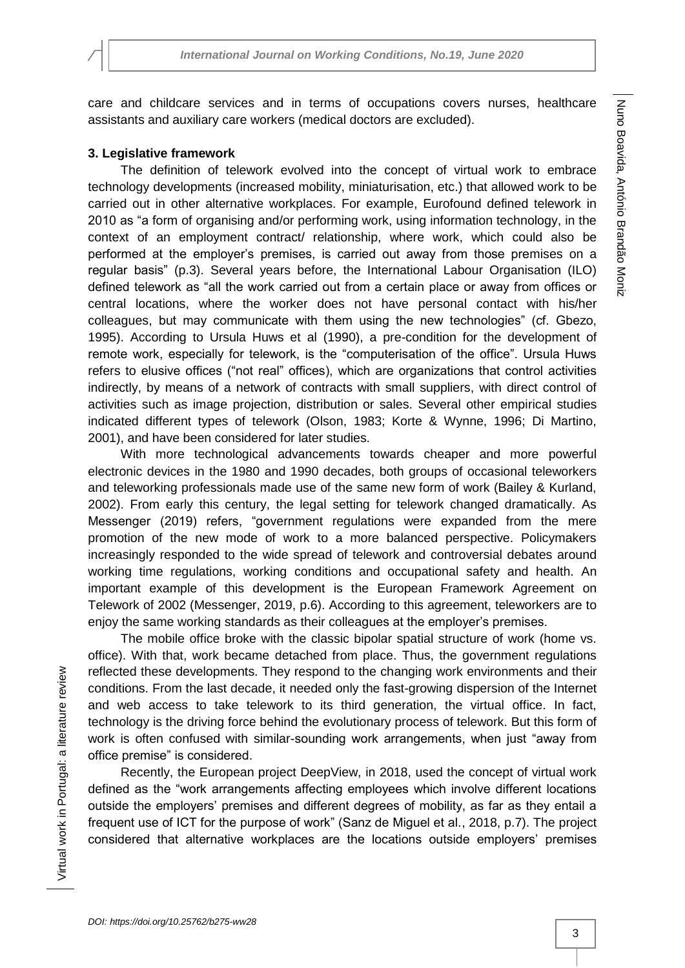care and childcare services and in terms of occupations covers nurses, healthcare assistants and auxiliary care workers (medical doctors are excluded).

# **3. Legislative framework**

The definition of telework evolved into the concept of virtual work to embrace technology developments (increased mobility, miniaturisation, etc.) that allowed work to be carried out in other alternative workplaces. For example, Eurofound defined telework in 2010 as "a form of organising and/or performing work, using information technology, in the context of an employment contract/ relationship, where work, which could also be performed at the employer's premises, is carried out away from those premises on a regular basis" (p.3). Several years before, the International Labour Organisation (ILO) defined telework as "all the work carried out from a certain place or away from offices or central locations, where the worker does not have personal contact with his/her colleagues, but may communicate with them using the new technologies" (cf. Gbezo, 1995). According to Ursula Huws et al (1990), a pre-condition for the development of remote work, especially for telework, is the "computerisation of the office". Ursula Huws refers to elusive offices ("not real" offices), which are organizations that control activities indirectly, by means of a network of contracts with small suppliers, with direct control of activities such as image projection, distribution or sales. Several other empirical studies indicated different types of telework (Olson, 1983; Korte & Wynne, 1996; Di Martino, 2001), and have been considered for later studies.

With more technological advancements towards cheaper and more powerful electronic devices in the 1980 and 1990 decades, both groups of occasional teleworkers and teleworking professionals made use of the same new form of work (Bailey & Kurland, 2002). From early this century, the legal setting for telework changed dramatically. As Messenger (2019) refers, "government regulations were expanded from the mere promotion of the new mode of work to a more balanced perspective. Policymakers increasingly responded to the wide spread of telework and controversial debates around working time regulations, working conditions and occupational safety and health. An important example of this development is the European Framework Agreement on Telework of 2002 (Messenger, 2019, p.6). According to this agreement, teleworkers are to enjoy the same working standards as their colleagues at the employer's premises.

The mobile office broke with the classic bipolar spatial structure of work (home vs. office). With that, work became detached from place. Thus, the government regulations reflected these developments. They respond to the changing work environments and their conditions. From the last decade, it needed only the fast-growing dispersion of the Internet and web access to take telework to its third generation, the virtual office. In fact, technology is the driving force behind the evolutionary process of telework. But this form of work is often confused with similar-sounding work arrangements, when just "away from office premise" is considered.

Recently, the European project DeepView, in 2018, used the concept of virtual work defined as the "work arrangements affecting employees which involve different locations outside the employers' premises and different degrees of mobility, as far as they entail a frequent use of ICT for the purpose of work" (Sanz de Miguel et al., 2018, p.7). The project considered that alternative workplaces are the locations outside employers' premises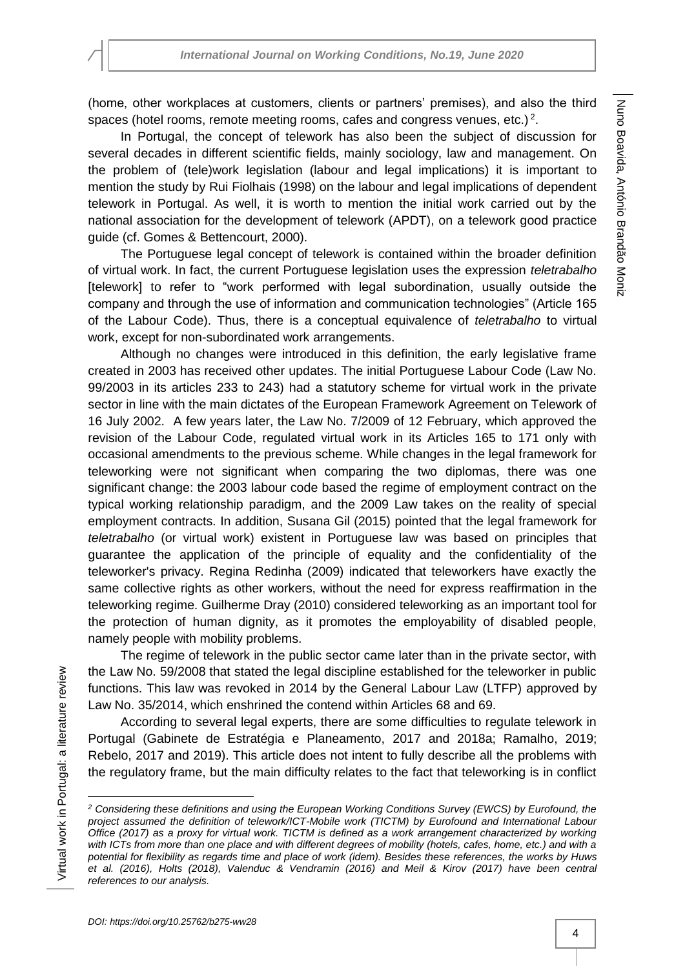(home, other workplaces at customers, clients or partners' premises), and also the third spaces (hotel rooms, remote meeting rooms, cafes and congress venues, etc.)<sup>2</sup>.

In Portugal, the concept of telework has also been the subject of discussion for several decades in different scientific fields, mainly sociology, law and management. On the problem of (tele)work legislation (labour and legal implications) it is important to mention the study by Rui Fiolhais (1998) on the labour and legal implications of dependent telework in Portugal. As well, it is worth to mention the initial work carried out by the national association for the development of telework (APDT), on a telework good practice guide (cf. Gomes & Bettencourt, 2000).

The Portuguese legal concept of telework is contained within the broader definition of virtual work. In fact, the current Portuguese legislation uses the expression *teletrabalho* [telework] to refer to "work performed with legal subordination, usually outside the company and through the use of information and communication technologies" (Article 165 of the Labour Code). Thus, there is a conceptual equivalence of *teletrabalho* to virtual work, except for non-subordinated work arrangements.

Although no changes were introduced in this definition, the early legislative frame created in 2003 has received other updates. The initial Portuguese Labour Code (Law No. 99/2003 in its articles 233 to 243) had a statutory scheme for virtual work in the private sector in line with the main dictates of the European Framework Agreement on Telework of 16 July 2002. A few years later, the Law No. 7/2009 of 12 February, which approved the revision of the Labour Code, regulated virtual work in its Articles 165 to 171 only with occasional amendments to the previous scheme. While changes in the legal framework for teleworking were not significant when comparing the two diplomas, there was one significant change: the 2003 labour code based the regime of employment contract on the typical working relationship paradigm, and the 2009 Law takes on the reality of special employment contracts. In addition, Susana Gil (2015) pointed that the legal framework for *teletrabalho* (or virtual work) existent in Portuguese law was based on principles that guarantee the application of the principle of equality and the confidentiality of the teleworker's privacy. Regina Redinha (2009) indicated that teleworkers have exactly the same collective rights as other workers, without the need for express reaffirmation in the teleworking regime. Guilherme Dray (2010) considered teleworking as an important tool for the protection of human dignity, as it promotes the employability of disabled people, namely people with mobility problems.

The regime of telework in the public sector came later than in the private sector, with the Law No. 59/2008 that stated the legal discipline established for the teleworker in public functions. This law was revoked in 2014 by the General Labour Law (LTFP) approved by Law No. 35/2014, which enshrined the contend within Articles 68 and 69.

According to several legal experts, there are some difficulties to regulate telework in Portugal (Gabinete de Estratégia e Planeamento, 2017 and 2018a; Ramalho, 2019; Rebelo, 2017 and 2019). This article does not intent to fully describe all the problems with the regulatory frame, but the main difficulty relates to the fact that teleworking is in conflict

 $\overline{\phantom{a}}$ 

*<sup>2</sup> Considering these definitions and using the European Working Conditions Survey (EWCS) by Eurofound, the project assumed the definition of telework/ICT-Mobile work (TICTM) by Eurofound and International Labour Office (2017) as a proxy for virtual work. TICTM is defined as a work arrangement characterized by working with ICTs from more than one place and with different degrees of mobility (hotels, cafes, home, etc.) and with a potential for flexibility as regards time and place of work (idem). Besides these references, the works by Huws et al. (2016), Holts (2018), Valenduc & Vendramin (2016) and Meil & Kirov (2017) have been central references to our analysis.*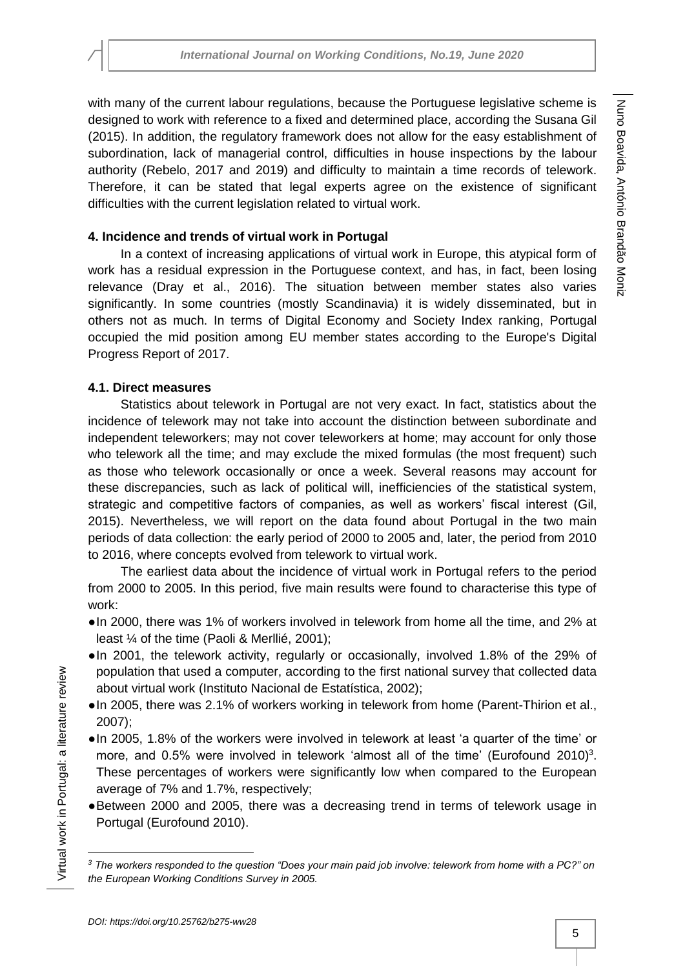with many of the current labour regulations, because the Portuguese legislative scheme is designed to work with reference to a fixed and determined place, according the Susana Gil (2015). In addition, the regulatory framework does not allow for the easy establishment of subordination, lack of managerial control, difficulties in house inspections by the labour authority (Rebelo, 2017 and 2019) and difficulty to maintain a time records of telework. Therefore, it can be stated that legal experts agree on the existence of significant difficulties with the current legislation related to virtual work.

### **4. Incidence and trends of virtual work in Portugal**

In a context of increasing applications of virtual work in Europe, this atypical form of work has a residual expression in the Portuguese context, and has, in fact, been losing relevance (Dray et al., 2016). The situation between member states also varies significantly. In some countries (mostly Scandinavia) it is widely disseminated, but in others not as much. In terms of Digital Economy and Society Index ranking, Portugal occupied the mid position among EU member states according to the Europe's Digital Progress Report of 2017.

## **4.1. Direct measures**

Statistics about telework in Portugal are not very exact. In fact, statistics about the incidence of telework may not take into account the distinction between subordinate and independent teleworkers; may not cover teleworkers at home; may account for only those who telework all the time; and may exclude the mixed formulas (the most frequent) such as those who telework occasionally or once a week. Several reasons may account for these discrepancies, such as lack of political will, inefficiencies of the statistical system, strategic and competitive factors of companies, as well as workers' fiscal interest (Gil, 2015). Nevertheless, we will report on the data found about Portugal in the two main periods of data collection: the early period of 2000 to 2005 and, later, the period from 2010 to 2016, where concepts evolved from telework to virtual work.

The earliest data about the incidence of virtual work in Portugal refers to the period from 2000 to 2005. In this period, five main results were found to characterise this type of work:

- ●In 2000, there was 1% of workers involved in telework from home all the time, and 2% at least ¼ of the time (Paoli & Merllié, 2001);
- ●In 2001, the telework activity, regularly or occasionally, involved 1.8% of the 29% of population that used a computer, according to the first national survey that collected data about virtual work (Instituto Nacional de Estatística, 2002);
- ●In 2005, there was 2.1% of workers working in telework from home (Parent-Thirion et al., 2007);
- ●In 2005, 1.8% of the workers were involved in telework at least 'a quarter of the time' or more, and 0.5% were involved in telework 'almost all of the time' (Eurofound 2010)<sup>3</sup>. These percentages of workers were significantly low when compared to the European average of 7% and 1.7%, respectively;
- ●Between 2000 and 2005, there was a decreasing trend in terms of telework usage in Portugal (Eurofound 2010).

Virtual work in Portugal: a literature review

Virtual work in Portugal: a literature review

 $\overline{\phantom{a}}$ 

*<sup>3</sup> The workers responded to the question "Does your main paid job involve: telework from home with a PC?" on the European Working Conditions Survey in 2005.*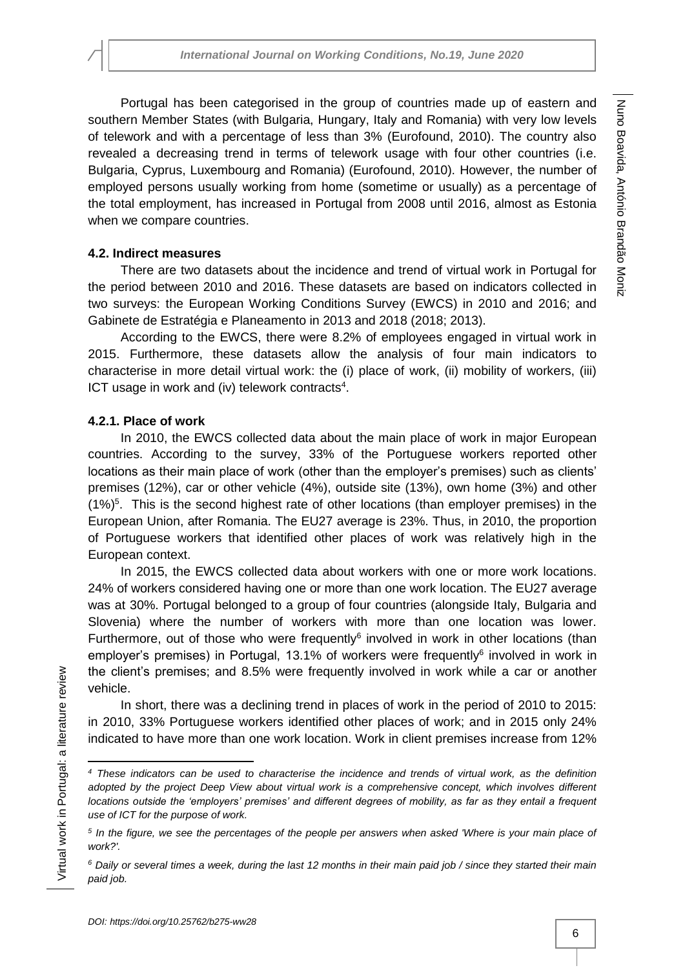Portugal has been categorised in the group of countries made up of eastern and southern Member States (with Bulgaria, Hungary, Italy and Romania) with very low levels of telework and with a percentage of less than 3% (Eurofound, 2010). The country also revealed a decreasing trend in terms of telework usage with four other countries (i.e. Bulgaria, Cyprus, Luxembourg and Romania) (Eurofound, 2010). However, the number of employed persons usually working from home (sometime or usually) as a percentage of the total employment, has increased in Portugal from 2008 until 2016, almost as Estonia when we compare countries.

# **4.2. Indirect measures**

There are two datasets about the incidence and trend of virtual work in Portugal for the period between 2010 and 2016. These datasets are based on indicators collected in two surveys: the European Working Conditions Survey (EWCS) in 2010 and 2016; and Gabinete de Estratégia e Planeamento in 2013 and 2018 (2018; 2013).

According to the EWCS, there were 8.2% of employees engaged in virtual work in 2015. Furthermore, these datasets allow the analysis of four main indicators to characterise in more detail virtual work: the (i) place of work, (ii) mobility of workers, (iii) ICT usage in work and (iv) telework contracts<sup>4</sup>.

# **4.2.1. Place of work**

In 2010, the EWCS collected data about the main place of work in major European countries. According to the survey, 33% of the Portuguese workers reported other locations as their main place of work (other than the employer's premises) such as clients' premises (12%), car or other vehicle (4%), outside site (13%), own home (3%) and other (1%)<sup>5</sup>. This is the second highest rate of other locations (than employer premises) in the European Union, after Romania. The EU27 average is 23%. Thus, in 2010, the proportion of Portuguese workers that identified other places of work was relatively high in the European context.

In 2015, the EWCS collected data about workers with one or more work locations. 24% of workers considered having one or more than one work location. The EU27 average was at 30%. Portugal belonged to a group of four countries (alongside Italy, Bulgaria and Slovenia) where the number of workers with more than one location was lower. Furthermore, out of those who were frequently $6$  involved in work in other locations (than employer's premises) in Portugal, 13.1% of workers were frequently<sup>6</sup> involved in work in the client's premises; and 8.5% were frequently involved in work while a car or another vehicle.

In short, there was a declining trend in places of work in the period of 2010 to 2015: in 2010, 33% Portuguese workers identified other places of work; and in 2015 only 24% indicated to have more than one work location. Work in client premises increase from 12%

 $\overline{\phantom{a}}$ 

*<sup>4</sup> These indicators can be used to characterise the incidence and trends of virtual work, as the definition adopted by the project Deep View about virtual work is a comprehensive concept, which involves different locations outside the 'employers' premises' and different degrees of mobility, as far as they entail a frequent use of ICT for the purpose of work.*

*<sup>5</sup> In the figure, we see the percentages of the people per answers when asked 'Where is your main place of work?'.*

*<sup>6</sup> Daily or several times a week, during the last 12 months in their main paid job / since they started their main paid job.*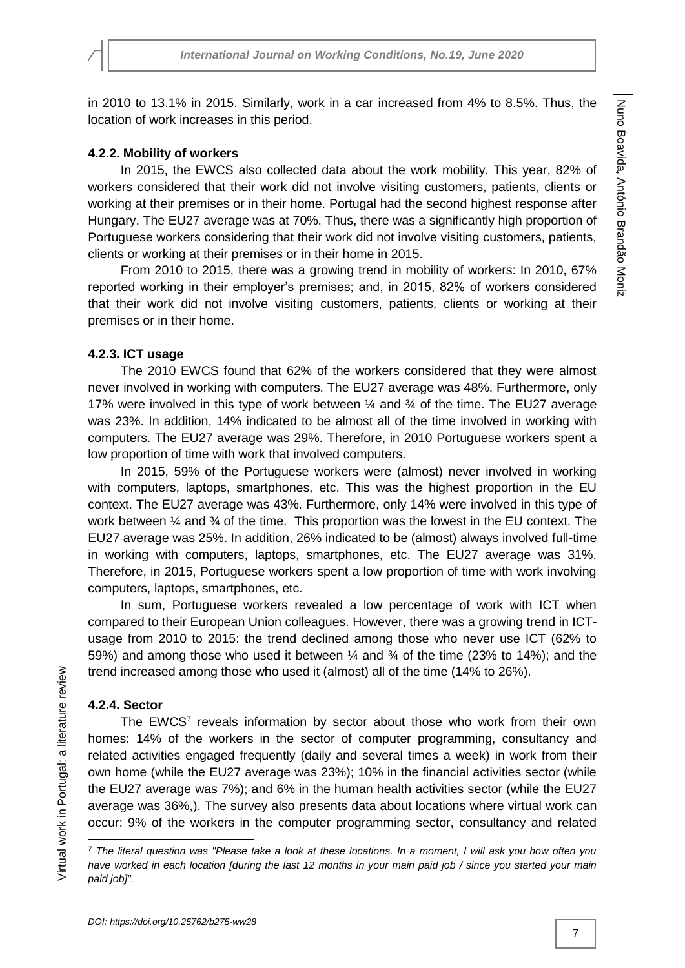in 2010 to 13.1% in 2015. Similarly, work in a car increased from 4% to 8.5%. Thus, the location of work increases in this period.

#### **4.2.2. Mobility of workers**

In 2015, the EWCS also collected data about the work mobility. This year, 82% of workers considered that their work did not involve visiting customers, patients, clients or working at their premises or in their home. Portugal had the second highest response after Hungary. The EU27 average was at 70%. Thus, there was a significantly high proportion of Portuguese workers considering that their work did not involve visiting customers, patients, clients or working at their premises or in their home in 2015.

From 2010 to 2015, there was a growing trend in mobility of workers: In 2010, 67% reported working in their employer's premises; and, in 2015, 82% of workers considered that their work did not involve visiting customers, patients, clients or working at their premises or in their home.

### **4.2.3. ICT usage**

The 2010 EWCS found that 62% of the workers considered that they were almost never involved in working with computers. The EU27 average was 48%. Furthermore, only 17% were involved in this type of work between  $\frac{1}{4}$  and  $\frac{3}{4}$  of the time. The EU27 average was 23%. In addition, 14% indicated to be almost all of the time involved in working with computers. The EU27 average was 29%. Therefore, in 2010 Portuguese workers spent a low proportion of time with work that involved computers.

In 2015, 59% of the Portuguese workers were (almost) never involved in working with computers, laptops, smartphones, etc. This was the highest proportion in the EU context. The EU27 average was 43%. Furthermore, only 14% were involved in this type of work between  $\frac{1}{4}$  and  $\frac{3}{4}$  of the time. This proportion was the lowest in the EU context. The EU27 average was 25%. In addition, 26% indicated to be (almost) always involved full-time in working with computers, laptops, smartphones, etc. The EU27 average was 31%. Therefore, in 2015, Portuguese workers spent a low proportion of time with work involving computers, laptops, smartphones, etc.

In sum, Portuguese workers revealed a low percentage of work with ICT when compared to their European Union colleagues. However, there was a growing trend in ICTusage from 2010 to 2015: the trend declined among those who never use ICT (62% to 59%) and among those who used it between ¼ and ¾ of the time (23% to 14%); and the trend increased among those who used it (almost) all of the time (14% to 26%).

### **4.2.4. Sector**

Virtual work in Portugal: a literature review

Virtual work in Portugal: a literature review

 $\overline{a}$ 

The EWCS<sup>7</sup> reveals information by sector about those who work from their own homes: 14% of the workers in the sector of computer programming, consultancy and related activities engaged frequently (daily and several times a week) in work from their own home (while the EU27 average was 23%); 10% in the financial activities sector (while the EU27 average was 7%); and 6% in the human health activities sector (while the EU27 average was 36%,). The survey also presents data about locations where virtual work can occur: 9% of the workers in the computer programming sector, consultancy and related

*<sup>7</sup> The literal question was "Please take a look at these locations. In a moment, I will ask you how often you have worked in each location [during the last 12 months in your main paid job / since you started your main paid job]".*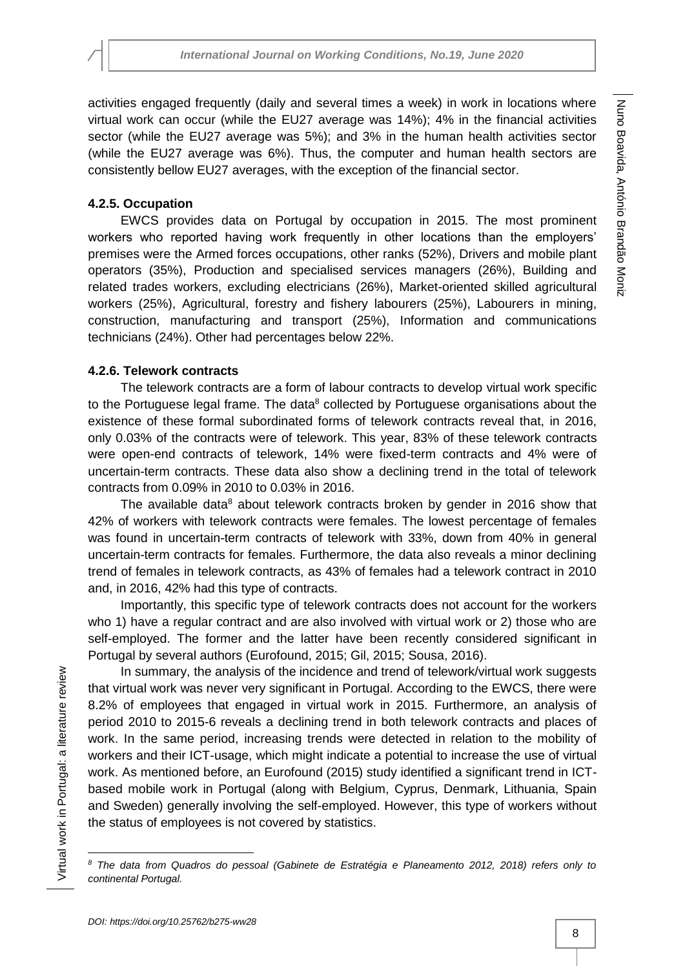activities engaged frequently (daily and several times a week) in work in locations where virtual work can occur (while the EU27 average was 14%); 4% in the financial activities sector (while the EU27 average was 5%); and 3% in the human health activities sector (while the EU27 average was 6%). Thus, the computer and human health sectors are consistently bellow EU27 averages, with the exception of the financial sector.

# **4.2.5. Occupation**

EWCS provides data on Portugal by occupation in 2015. The most prominent workers who reported having work frequently in other locations than the employers' premises were the Armed forces occupations, other ranks (52%), Drivers and mobile plant operators (35%), Production and specialised services managers (26%), Building and related trades workers, excluding electricians (26%), Market-oriented skilled agricultural workers (25%), Agricultural, forestry and fishery labourers (25%), Labourers in mining, construction, manufacturing and transport (25%), Information and communications technicians (24%). Other had percentages below 22%.

# **4.2.6. Telework contracts**

The telework contracts are a form of labour contracts to develop virtual work specific to the Portuguese legal frame. The data $8$  collected by Portuguese organisations about the existence of these formal subordinated forms of telework contracts reveal that, in 2016, only 0.03% of the contracts were of telework. This year, 83% of these telework contracts were open-end contracts of telework, 14% were fixed-term contracts and 4% were of uncertain-term contracts. These data also show a declining trend in the total of telework contracts from 0.09% in 2010 to 0.03% in 2016.

The available data $8$  about telework contracts broken by gender in 2016 show that 42% of workers with telework contracts were females. The lowest percentage of females was found in uncertain-term contracts of telework with 33%, down from 40% in general uncertain-term contracts for females. Furthermore, the data also reveals a minor declining trend of females in telework contracts, as 43% of females had a telework contract in 2010 and, in 2016, 42% had this type of contracts.

Importantly, this specific type of telework contracts does not account for the workers who 1) have a regular contract and are also involved with virtual work or 2) those who are self-employed. The former and the latter have been recently considered significant in Portugal by several authors (Eurofound, 2015; Gil, 2015; Sousa, 2016).

In summary, the analysis of the incidence and trend of telework/virtual work suggests that virtual work was never very significant in Portugal. According to the EWCS, there were 8.2% of employees that engaged in virtual work in 2015. Furthermore, an analysis of period 2010 to 2015-6 reveals a declining trend in both telework contracts and places of work. In the same period, increasing trends were detected in relation to the mobility of workers and their ICT-usage, which might indicate a potential to increase the use of virtual work. As mentioned before, an Eurofound (2015) study identified a significant trend in ICTbased mobile work in Portugal (along with Belgium, Cyprus, Denmark, Lithuania, Spain and Sweden) generally involving the self-employed. However, this type of workers without the status of employees is not covered by statistics.

 $\overline{\phantom{a}}$ *<sup>8</sup> The data from Quadros do pessoal (Gabinete de Estratégia e Planeamento 2012, 2018) refers only to continental Portugal.*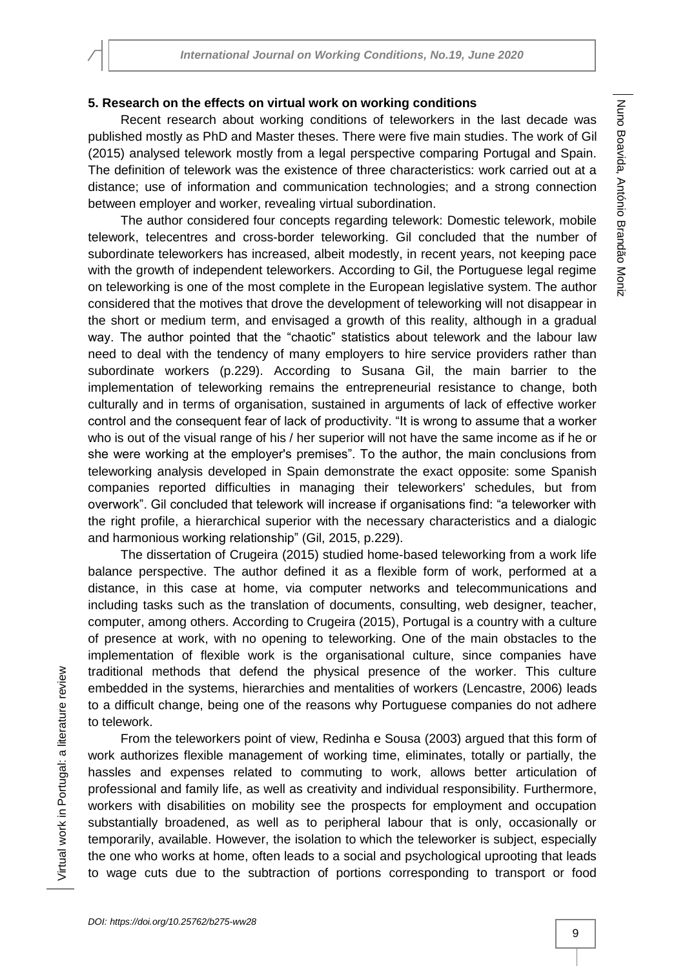# **5. Research on the effects on virtual work on working conditions**

Recent research about working conditions of teleworkers in the last decade was published mostly as PhD and Master theses. There were five main studies. The work of Gil (2015) analysed telework mostly from a legal perspective comparing Portugal and Spain. The definition of telework was the existence of three characteristics: work carried out at a distance; use of information and communication technologies; and a strong connection between employer and worker, revealing virtual subordination.

The author considered four concepts regarding telework: Domestic telework, mobile telework, telecentres and cross-border teleworking. Gil concluded that the number of subordinate teleworkers has increased, albeit modestly, in recent years, not keeping pace with the growth of independent teleworkers. According to Gil, the Portuguese legal regime on teleworking is one of the most complete in the European legislative system. The author considered that the motives that drove the development of teleworking will not disappear in the short or medium term, and envisaged a growth of this reality, although in a gradual way. The author pointed that the "chaotic" statistics about telework and the labour law need to deal with the tendency of many employers to hire service providers rather than subordinate workers (p.229). According to Susana Gil, the main barrier to the implementation of teleworking remains the entrepreneurial resistance to change, both culturally and in terms of organisation, sustained in arguments of lack of effective worker control and the consequent fear of lack of productivity. "It is wrong to assume that a worker who is out of the visual range of his / her superior will not have the same income as if he or she were working at the employer's premises". To the author, the main conclusions from teleworking analysis developed in Spain demonstrate the exact opposite: some Spanish companies reported difficulties in managing their teleworkers' schedules, but from overwork". Gil concluded that telework will increase if organisations find: "a teleworker with the right profile, a hierarchical superior with the necessary characteristics and a dialogic and harmonious working relationship" (Gil, 2015, p.229).

The dissertation of Crugeira (2015) studied home-based teleworking from a work life balance perspective. The author defined it as a flexible form of work, performed at a distance, in this case at home, via computer networks and telecommunications and including tasks such as the translation of documents, consulting, web designer, teacher, computer, among others. According to Crugeira (2015), Portugal is a country with a culture of presence at work, with no opening to teleworking. One of the main obstacles to the implementation of flexible work is the organisational culture, since companies have traditional methods that defend the physical presence of the worker. This culture embedded in the systems, hierarchies and mentalities of workers (Lencastre, 2006) leads to a difficult change, being one of the reasons why Portuguese companies do not adhere to telework.

From the teleworkers point of view, Redinha e Sousa (2003) argued that this form of work authorizes flexible management of working time, eliminates, totally or partially, the hassles and expenses related to commuting to work, allows better articulation of professional and family life, as well as creativity and individual responsibility. Furthermore, workers with disabilities on mobility see the prospects for employment and occupation substantially broadened, as well as to peripheral labour that is only, occasionally or temporarily, available. However, the isolation to which the teleworker is subject, especially the one who works at home, often leads to a social and psychological uprooting that leads to wage cuts due to the subtraction of portions corresponding to transport or food

Virtual work in Portugal: a literature review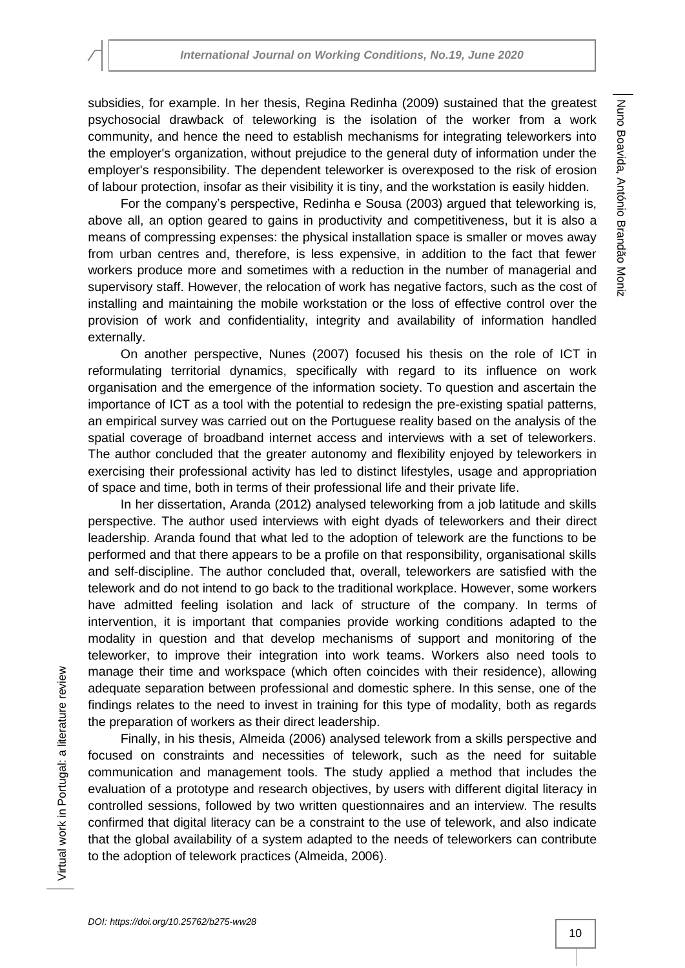subsidies, for example. In her thesis, Regina Redinha (2009) sustained that the greatest psychosocial drawback of teleworking is the isolation of the worker from a work community, and hence the need to establish mechanisms for integrating teleworkers into the employer's organization, without prejudice to the general duty of information under the employer's responsibility. The dependent teleworker is overexposed to the risk of erosion of labour protection, insofar as their visibility it is tiny, and the workstation is easily hidden.

For the company's perspective, Redinha e Sousa (2003) argued that teleworking is, above all, an option geared to gains in productivity and competitiveness, but it is also a means of compressing expenses: the physical installation space is smaller or moves away from urban centres and, therefore, is less expensive, in addition to the fact that fewer workers produce more and sometimes with a reduction in the number of managerial and supervisory staff. However, the relocation of work has negative factors, such as the cost of installing and maintaining the mobile workstation or the loss of effective control over the provision of work and confidentiality, integrity and availability of information handled externally.

On another perspective, Nunes (2007) focused his thesis on the role of ICT in reformulating territorial dynamics, specifically with regard to its influence on work organisation and the emergence of the information society. To question and ascertain the importance of ICT as a tool with the potential to redesign the pre-existing spatial patterns, an empirical survey was carried out on the Portuguese reality based on the analysis of the spatial coverage of broadband internet access and interviews with a set of teleworkers. The author concluded that the greater autonomy and flexibility enjoyed by teleworkers in exercising their professional activity has led to distinct lifestyles, usage and appropriation of space and time, both in terms of their professional life and their private life.

In her dissertation, Aranda (2012) analysed teleworking from a job latitude and skills perspective. The author used interviews with eight dyads of teleworkers and their direct leadership. Aranda found that what led to the adoption of telework are the functions to be performed and that there appears to be a profile on that responsibility, organisational skills and self-discipline. The author concluded that, overall, teleworkers are satisfied with the telework and do not intend to go back to the traditional workplace. However, some workers have admitted feeling isolation and lack of structure of the company. In terms of intervention, it is important that companies provide working conditions adapted to the modality in question and that develop mechanisms of support and monitoring of the teleworker, to improve their integration into work teams. Workers also need tools to manage their time and workspace (which often coincides with their residence), allowing adequate separation between professional and domestic sphere. In this sense, one of the findings relates to the need to invest in training for this type of modality, both as regards the preparation of workers as their direct leadership.

Finally, in his thesis, Almeida (2006) analysed telework from a skills perspective and focused on constraints and necessities of telework, such as the need for suitable communication and management tools. The study applied a method that includes the evaluation of a prototype and research objectives, by users with different digital literacy in controlled sessions, followed by two written questionnaires and an interview. The results confirmed that digital literacy can be a constraint to the use of telework, and also indicate that the global availability of a system adapted to the needs of teleworkers can contribute to the adoption of telework practices (Almeida, 2006).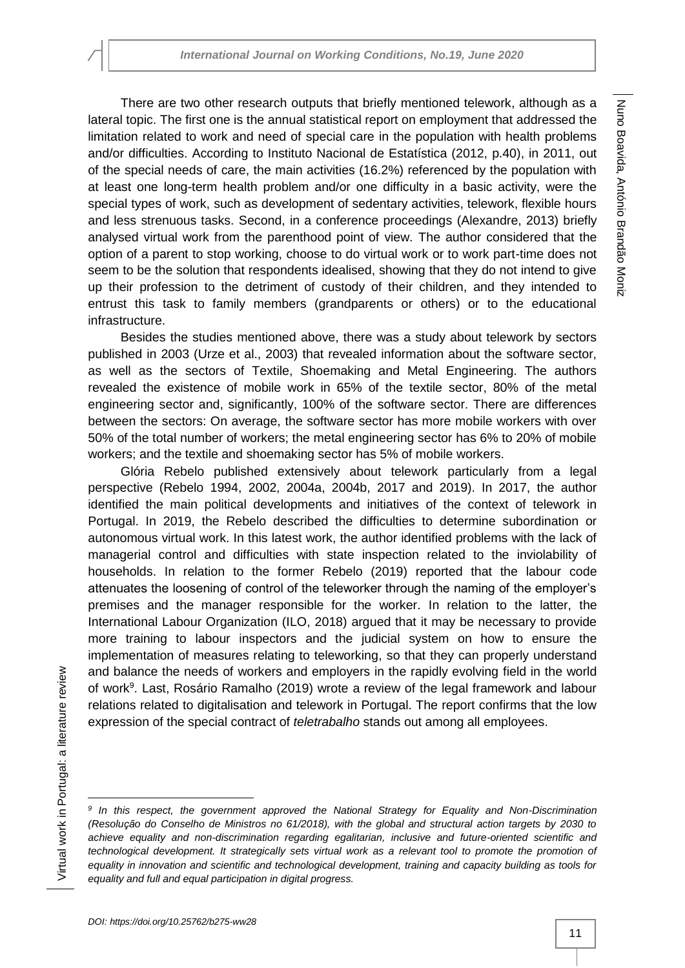There are two other research outputs that briefly mentioned telework, although as a lateral topic. The first one is the annual statistical report on employment that addressed the limitation related to work and need of special care in the population with health problems and/or difficulties. According to Instituto Nacional de Estatística (2012, p.40), in 2011, out of the special needs of care, the main activities (16.2%) referenced by the population with at least one long-term health problem and/or one difficulty in a basic activity, were the special types of work, such as development of sedentary activities, telework, flexible hours and less strenuous tasks. Second, in a conference proceedings (Alexandre, 2013) briefly analysed virtual work from the parenthood point of view. The author considered that the option of a parent to stop working, choose to do virtual work or to work part-time does not seem to be the solution that respondents idealised, showing that they do not intend to give up their profession to the detriment of custody of their children, and they intended to entrust this task to family members (grandparents or others) or to the educational infrastructure.

Besides the studies mentioned above, there was a study about telework by sectors published in 2003 (Urze et al., 2003) that revealed information about the software sector, as well as the sectors of Textile, Shoemaking and Metal Engineering. The authors revealed the existence of mobile work in 65% of the textile sector, 80% of the metal engineering sector and, significantly, 100% of the software sector. There are differences between the sectors: On average, the software sector has more mobile workers with over 50% of the total number of workers; the metal engineering sector has 6% to 20% of mobile workers; and the textile and shoemaking sector has 5% of mobile workers.

Glória Rebelo published extensively about telework particularly from a legal perspective (Rebelo 1994, 2002, 2004a, 2004b, 2017 and 2019). In 2017, the author identified the main political developments and initiatives of the context of telework in Portugal. In 2019, the Rebelo described the difficulties to determine subordination or autonomous virtual work. In this latest work, the author identified problems with the lack of managerial control and difficulties with state inspection related to the inviolability of households. In relation to the former Rebelo (2019) reported that the labour code attenuates the loosening of control of the teleworker through the naming of the employer's premises and the manager responsible for the worker. In relation to the latter, the International Labour Organization (ILO, 2018) argued that it may be necessary to provide more training to labour inspectors and the judicial system on how to ensure the implementation of measures relating to teleworking, so that they can properly understand and balance the needs of workers and employers in the rapidly evolving field in the world of work<sup>9</sup>. Last, Rosário Ramalho (2019) wrote a review of the legal framework and labour relations related to digitalisation and telework in Portugal. The report confirms that the low expression of the special contract of *teletrabalho* stands out among all employees.

 $\overline{\phantom{a}}$ *9 In this respect, the government approved the National Strategy for Equality and Non-Discrimination (Resolução do Conselho de Ministros no 61/2018), with the global and structural action targets by 2030 to achieve equality and non-discrimination regarding egalitarian, inclusive and future-oriented scientific and technological development. It strategically sets virtual work as a relevant tool to promote the promotion of equality in innovation and scientific and technological development, training and capacity building as tools for equality and full and equal participation in digital progress.*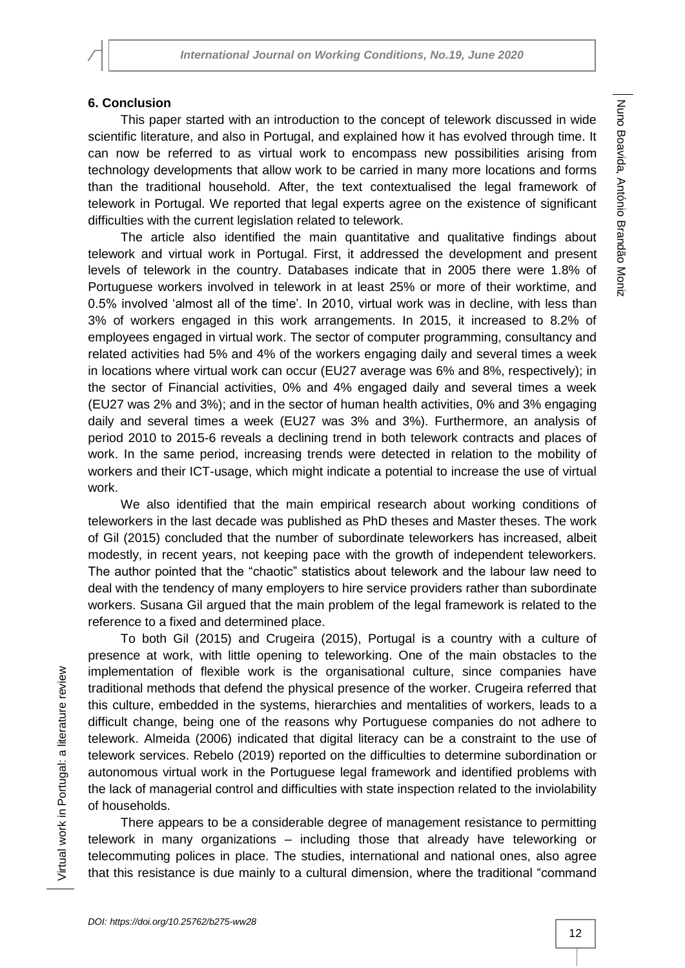# **6. Conclusion**

This paper started with an introduction to the concept of telework discussed in wide scientific literature, and also in Portugal, and explained how it has evolved through time. It can now be referred to as virtual work to encompass new possibilities arising from technology developments that allow work to be carried in many more locations and forms than the traditional household. After, the text contextualised the legal framework of telework in Portugal. We reported that legal experts agree on the existence of significant difficulties with the current legislation related to telework.

The article also identified the main quantitative and qualitative findings about telework and virtual work in Portugal. First, it addressed the development and present levels of telework in the country. Databases indicate that in 2005 there were 1.8% of Portuguese workers involved in telework in at least 25% or more of their worktime, and 0.5% involved 'almost all of the time'. In 2010, virtual work was in decline, with less than 3% of workers engaged in this work arrangements. In 2015, it increased to 8.2% of employees engaged in virtual work. The sector of computer programming, consultancy and related activities had 5% and 4% of the workers engaging daily and several times a week in locations where virtual work can occur (EU27 average was 6% and 8%, respectively); in the sector of Financial activities, 0% and 4% engaged daily and several times a week (EU27 was 2% and 3%); and in the sector of human health activities, 0% and 3% engaging daily and several times a week (EU27 was 3% and 3%). Furthermore, an analysis of period 2010 to 2015-6 reveals a declining trend in both telework contracts and places of work. In the same period, increasing trends were detected in relation to the mobility of workers and their ICT-usage, which might indicate a potential to increase the use of virtual work.

We also identified that the main empirical research about working conditions of teleworkers in the last decade was published as PhD theses and Master theses. The work of Gil (2015) concluded that the number of subordinate teleworkers has increased, albeit modestly, in recent years, not keeping pace with the growth of independent teleworkers. The author pointed that the "chaotic" statistics about telework and the labour law need to deal with the tendency of many employers to hire service providers rather than subordinate workers. Susana Gil argued that the main problem of the legal framework is related to the reference to a fixed and determined place.

To both Gil (2015) and Crugeira (2015), Portugal is a country with a culture of presence at work, with little opening to teleworking. One of the main obstacles to the implementation of flexible work is the organisational culture, since companies have traditional methods that defend the physical presence of the worker. Crugeira referred that this culture, embedded in the systems, hierarchies and mentalities of workers, leads to a difficult change, being one of the reasons why Portuguese companies do not adhere to telework. Almeida (2006) indicated that digital literacy can be a constraint to the use of telework services. Rebelo (2019) reported on the difficulties to determine subordination or autonomous virtual work in the Portuguese legal framework and identified problems with the lack of managerial control and difficulties with state inspection related to the inviolability of households.

There appears to be a considerable degree of management resistance to permitting telework in many organizations – including those that already have teleworking or telecommuting polices in place. The studies, international and national ones, also agree that this resistance is due mainly to a cultural dimension, where the traditional "command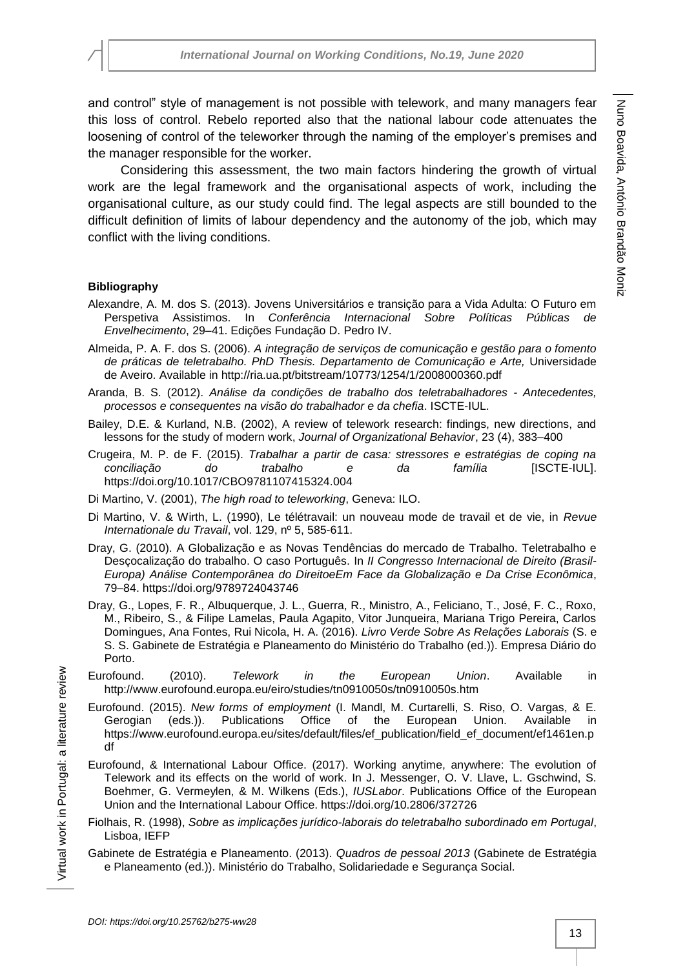and control" style of management is not possible with telework, and many managers fear this loss of control. Rebelo reported also that the national labour code attenuates the loosening of control of the teleworker through the naming of the employer's premises and the manager responsible for the worker.

Considering this assessment, the two main factors hindering the growth of virtual work are the legal framework and the organisational aspects of work, including the organisational culture, as our study could find. The legal aspects are still bounded to the difficult definition of limits of labour dependency and the autonomy of the job, which may conflict with the living conditions.

### **Bibliography**

- Alexandre, A. M. dos S. (2013). Jovens Universitários e transição para a Vida Adulta: O Futuro em Perspetiva Assistimos. In *Conferência Internacional Sobre Políticas Públicas de Envelhecimento*, 29–41. Edições Fundação D. Pedro IV.
- Almeida, P. A. F. dos S. (2006). *A integração de serviços de comunicação e gestão para o fomento de práticas de teletrabalho. PhD Thesis. Departamento de Comunicação e Arte,* Universidade de Aveiro. Available in http://ria.ua.pt/bitstream/10773/1254/1/2008000360.pdf
- Aranda, B. S. (2012). *Análise da condições de trabalho dos teletrabalhadores - Antecedentes, processos e consequentes na visão do trabalhador e da chefia*. ISCTE-IUL.
- Bailey, D.E. & Kurland, N.B. (2002), A review of telework research: findings, new directions, and lessons for the study of modern work, *Journal of Organizational Behavior*, 23 (4), 383–400
- Crugeira, M. P. de F. (2015). *Trabalhar a partir de casa: stressores e estratégias de coping na conciliação do trabalho e da família* [ISCTE-IUL]. https://doi.org/10.1017/CBO9781107415324.004
- Di Martino, V. (2001), *The high road to teleworking*, Geneva: ILO.
- Di Martino, V. & Wirth, L. (1990), Le télétravail: un nouveau mode de travail et de vie, in *Revue Internationale du Travail*, vol. 129, nº 5, 585-611.
- Dray, G. (2010). A Globalização e as Novas Tendências do mercado de Trabalho. Teletrabalho e Desçocalização do trabalho. O caso Português. In *II Congresso Internacional de Direito (Brasil-Europa) Análise Contemporânea do DireitoeEm Face da Globalização e Da Crise Econômica*, 79–84. https://doi.org/9789724043746
- Dray, G., Lopes, F. R., Albuquerque, J. L., Guerra, R., Ministro, A., Feliciano, T., José, F. C., Roxo, M., Ribeiro, S., & Filipe Lamelas, Paula Agapito, Vitor Junqueira, Mariana Trigo Pereira, Carlos Domingues, Ana Fontes, Rui Nicola, H. A. (2016). *Livro Verde Sobre As Relações Laborais* (S. e S. S. Gabinete de Estratégia e Planeamento do Ministério do Trabalho (ed.)). Empresa Diário do Porto.
- Eurofound. (2010). *Telework in the European Union*. Available in http://www.eurofound.europa.eu/eiro/studies/tn0910050s/tn0910050s.htm
- Eurofound. (2015). *New forms of employment* (I. Mandl, M. Curtarelli, S. Riso, O. Vargas, & E. Gerogian (eds.)). Publications Office of the European Union. Available in https://www.eurofound.europa.eu/sites/default/files/ef\_publication/field\_ef\_document/ef1461en.p df
- Eurofound, & International Labour Office. (2017). Working anytime, anywhere: The evolution of Telework and its effects on the world of work. In J. Messenger, O. V. Llave, L. Gschwind, S. Boehmer, G. Vermeylen, & M. Wilkens (Eds.), *IUSLabor*. Publications Office of the European Union and the International Labour Office. https://doi.org/10.2806/372726
- Fiolhais, R. (1998), *Sobre as implicações jurídico-laborais do teletrabalho subordinado em Portugal*, Lisboa, IEFP
- Gabinete de Estratégia e Planeamento. (2013). *Quadros de pessoal 2013* (Gabinete de Estratégia e Planeamento (ed.)). Ministério do Trabalho, Solidariedade e Segurança Social.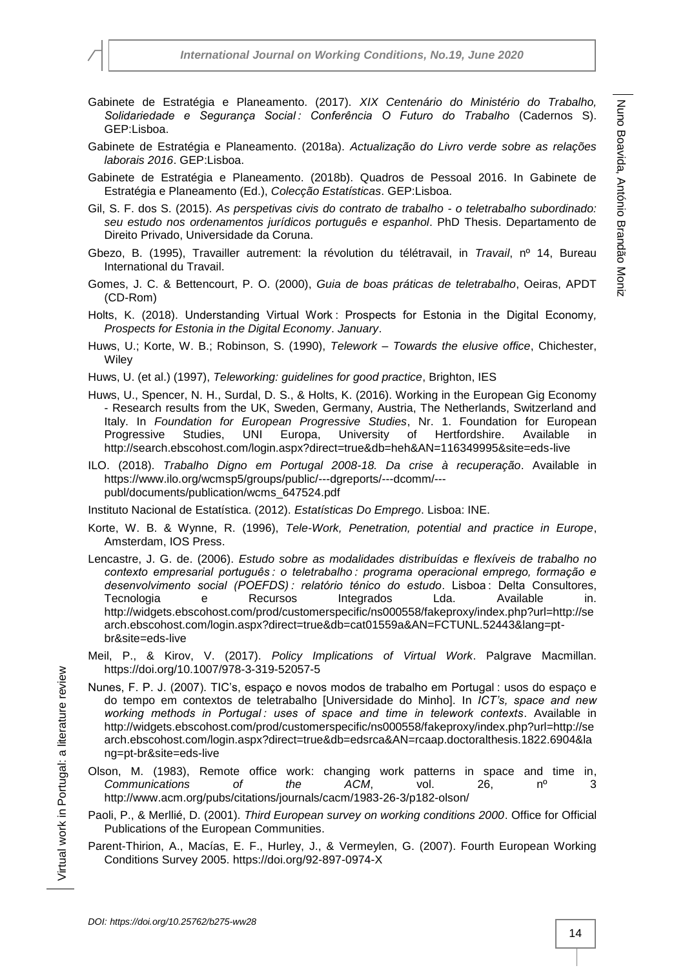- Gabinete de Estratégia e Planeamento. (2017). *XIX Centenário do Ministério do Trabalho, Solidariedade e Segurança Social : Conferência O Futuro do Trabalho* (Cadernos S). GEP:Lisboa.
- Gabinete de Estratégia e Planeamento. (2018a). *Actualização do Livro verde sobre as relações laborais 2016*. GEP:Lisboa.
- Gabinete de Estratégia e Planeamento. (2018b). Quadros de Pessoal 2016. In Gabinete de Estratégia e Planeamento (Ed.), *Colecção Estatísticas*. GEP:Lisboa.
- Gil, S. F. dos S. (2015). *As perspetivas civis do contrato de trabalho - o teletrabalho subordinado: seu estudo nos ordenamentos jurídicos português e espanhol*. PhD Thesis. Departamento de Direito Privado, Universidade da Coruna.
- Gbezo, B. (1995), Travailler autrement: la révolution du télétravail, in *Travail*, nº 14, Bureau International du Travail.
- Gomes, J. C. & Bettencourt, P. O. (2000), *Guia de boas práticas de teletrabalho*, Oeiras, APDT (CD-Rom)
- Holts, K. (2018). Understanding Virtual Work : Prospects for Estonia in the Digital Economy*, Prospects for Estonia in the Digital Economy*. *January*.
- Huws, U.; Korte, W. B.; Robinson, S. (1990), *Telework – Towards the elusive office*, Chichester, **Wiley**
- Huws, U. (et al.) (1997), *Teleworking: guidelines for good practice*, Brighton, IES
- Huws, U., Spencer, N. H., Surdal, D. S., & Holts, K. (2016). Working in the European Gig Economy - Research results from the UK, Sweden, Germany, Austria, The Netherlands, Switzerland and Italy. In *Foundation for European Progressive Studies*, Nr. 1. Foundation for European Progressive Studies, UNI Europa, University of Hertfordshire. Available in http://search.ebscohost.com/login.aspx?direct=true&db=heh&AN=116349995&site=eds-live
- ILO. (2018). *Trabalho Digno em Portugal 2008-18. Da crise à recuperação*. Available in https://www.ilo.org/wcmsp5/groups/public/---dgreports/---dcomm/-- publ/documents/publication/wcms\_647524.pdf

Instituto Nacional de Estatística. (2012). *Estatísticas Do Emprego*. Lisboa: INE.

- Korte, W. B. & Wynne, R. (1996), *Tele-Work, Penetration, potential and practice in Europe*, Amsterdam, IOS Press.
- Lencastre, J. G. de. (2006). *Estudo sobre as modalidades distribuídas e flexíveis de trabalho no contexto empresarial português : o teletrabalho : programa operacional emprego, formação e desenvolvimento social (POEFDS) : relatório ténico do estudo*. Lisboa : Delta Consultores, Tecnologia e Recursos Integrados Lda. Available in. http://widgets.ebscohost.com/prod/customerspecific/ns000558/fakeproxy/index.php?url=http://se arch.ebscohost.com/login.aspx?direct=true&db=cat01559a&AN=FCTUNL.52443&lang=ptbr&site=eds-live
- Meil, P., & Kirov, V. (2017). *Policy Implications of Virtual Work*. Palgrave Macmillan. https://doi.org/10.1007/978-3-319-52057-5
- Nunes, F. P. J. (2007). TIC's, espaço e novos modos de trabalho em Portugal : usos do espaço e do tempo em contextos de teletrabalho [Universidade do Minho]. In *ICT's, space and new working methods in Portugal : uses of space and time in telework contexts*. Available in http://widgets.ebscohost.com/prod/customerspecific/ns000558/fakeproxy/index.php?url=http://se arch.ebscohost.com/login.aspx?direct=true&db=edsrca&AN=rcaap.doctoralthesis.1822.6904&la ng=pt-br&site=eds-live
- Olson, M. (1983), Remote office work: changing work patterns in space and time in, *Communications of the ACM*, vol. 26, nº 3 http://www.acm.org/pubs/citations/journals/cacm/1983-26-3/p182-olson/
- Paoli, P., & Merllié, D. (2001). *Third European survey on working conditions 2000*. Office for Official Publications of the European Communities.
- Parent-Thirion, A., Macías, E. F., Hurley, J., & Vermeylen, G. (2007). Fourth European Working Conditions Survey 2005. https://doi.org/92-897-0974-X